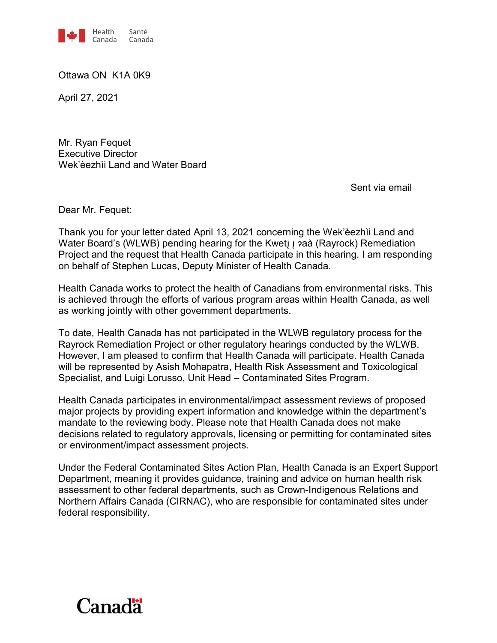

Ottawa ON K1A 0K9

April 27, 2021

Mr. Ryan Fequet Executive Director Wek'èezhìi Land and Water Board

Sent via email

Dear Mr. Fequet:

Thank you for your letter dated April 13, 2021 concerning the Wek'èezhìi Land and Water Board's (WLWB) pending hearing for the Kwet<sub>II</sub>  $\alpha$ aà (Rayrock) Remediation Project and the request that Health Canada participate in this hearing. I am responding on behalf of Stephen Lucas, Deputy Minister of Health Canada.

Health Canada works to protect the health of Canadians from environmental risks. This is achieved through the efforts of various program areas within Health Canada, as well as working jointly with other government departments.

To date, Health Canada has not participated in the WLWB regulatory process for the Rayrock Remediation Project or other regulatory hearings conducted by the WLWB. However, I am pleased to confirm that Health Canada will participate. Health Canada will be represented by Asish Mohapatra, Health Risk Assessment and Toxicological Specialist, and Luigi Lorusso, Unit Head – Contaminated Sites Program.

Health Canada participates in environmental/impact assessment reviews of proposed major projects by providing expert information and knowledge within the department's mandate to the reviewing body. Please note that Health Canada does not make decisions related to regulatory approvals, licensing or permitting for contaminated sites or environment/impact assessment projects.

Under the Federal Contaminated Sites Action Plan, Health Canada is an Expert Support Department, meaning it provides guidance, training and advice on human health risk assessment to other federal departments, such as Crown-Indigenous Relations and Northern Affairs Canada (CIRNAC), who are responsible for contaminated sites under federal responsibility.

## **Canadä**